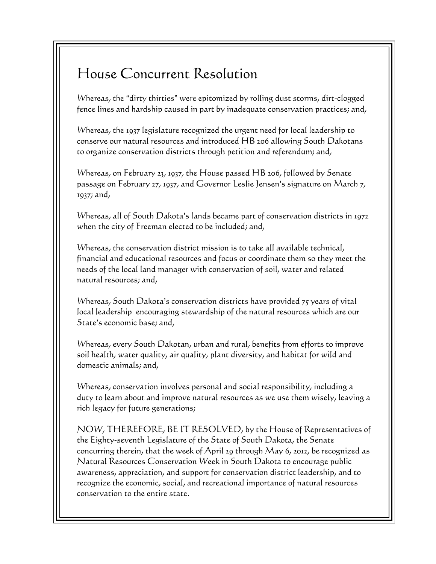## House Concurrent Resolution

Whereas, the "dirty thirties" were epitomized by rolling dust storms, dirt-clogged fence lines and hardship caused in part by inadequate conservation practices; and,

Whereas, the 1937 legislature recognized the urgent need for local leadership to conserve our natural resources and introduced HB 206 allowing South Dakotans to organize conservation districts through petition and referendum; and,

Whereas, on February 23, 1937, the House passed HB 206, followed by Senate passage on February 27, 1937, and Governor Leslie Jensen's signature on March  $7$ , 1937; and,

Whereas, all of South Dakota's lands became part of conservation districts in 1972 when the city of Freeman elected to be included; and,

Whereas, the conservation district mission is to take all available technical, financial and educational resources and focus or coordinate them so they meet the needs of the local land manager with conservation of soil, water and related natural resources; and,

Whereas, South Dakota's conservation districts have provided 75 years of vital local leadership encouraging stewardship of the natural resources which are our State's economic base; and,

Whereas, every South Dakotan, urban and rural, benefits from efforts to improve soil health, water quality, air quality, plant diversity, and habitat for wild and domestic animals; and,

Whereas, conservation involves personal and social responsibility, including a duty to learn about and improve natural resources as we use them wisely, leaving a rich legacy for future generations;

NOW, THEREFORE, BE IT RESOLVED, by the House of Representatives of the Eighty-seventh Legislature of the State of South Dakota, the Senate concurring therein, that the week of April 29 through May 6, 2012, be recognized as Natural Resources Conservation Week in South Dakota to encourage public awareness, appreciation, and support for conservation district leadership, and to recognize the economic, social, and recreational importance of natural resources conservation to the entire state.